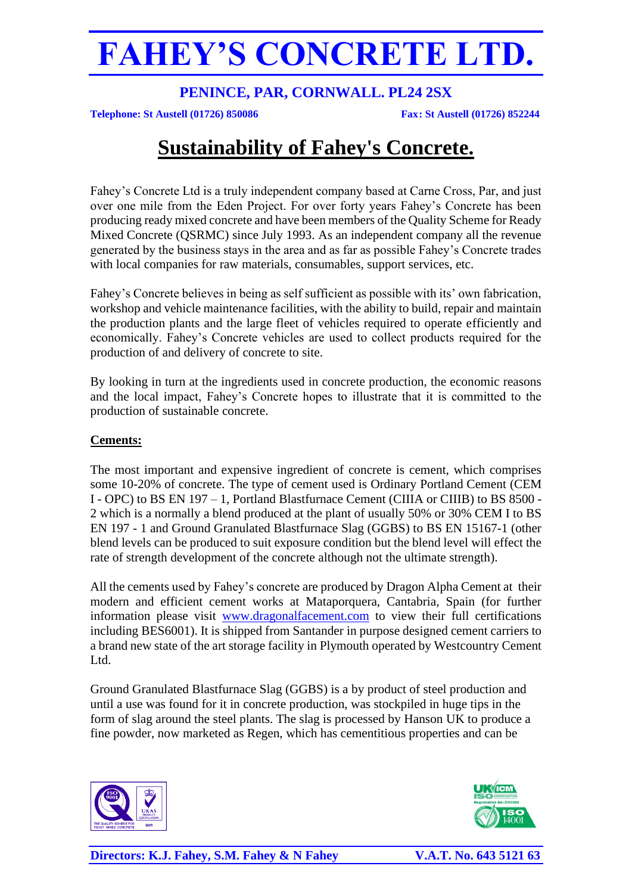## **PENINCE, PAR, CORNWALL. PL24 2SX**

**Telephone: St Austell (01726) 850086 Fax: St Austell (01726) 852244**

## **Sustainability of Fahey's Concrete.**

Fahey's Concrete Ltd is a truly independent company based at Carne Cross, Par, and just over one mile from the Eden Project. For over forty years Fahey's Concrete has been producing ready mixed concrete and have been members of the Quality Scheme for Ready Mixed Concrete (QSRMC) since July 1993. As an independent company all the revenue generated by the business stays in the area and as far as possible Fahey's Concrete trades with local companies for raw materials, consumables, support services, etc.

Fahey's Concrete believes in being as self sufficient as possible with its' own fabrication, workshop and vehicle maintenance facilities, with the ability to build, repair and maintain the production plants and the large fleet of vehicles required to operate efficiently and economically. Fahey's Concrete vehicles are used to collect products required for the production of and delivery of concrete to site.

By looking in turn at the ingredients used in concrete production, the economic reasons and the local impact, Fahey's Concrete hopes to illustrate that it is committed to the production of sustainable concrete.

### **Cements:**

The most important and expensive ingredient of concrete is cement, which comprises some 10-20% of concrete. The type of cement used is Ordinary Portland Cement (CEM I - OPC) to BS EN 197 – 1, Portland Blastfurnace Cement (CIIIA or CIIIB) to BS 8500 - 2 which is a normally a blend produced at the plant of usually 50% or 30% CEM I to BS EN 197 - 1 and Ground Granulated Blastfurnace Slag (GGBS) to BS EN 15167-1 (other blend levels can be produced to suit exposure condition but the blend level will effect the rate of strength development of the concrete although not the ultimate strength).

All the cements used by Fahey's concrete are produced by Dragon Alpha Cement at their modern and efficient cement works at Mataporquera, Cantabria, Spain (for further information please visit [www.dragonalfacement.com](http://www.dragonalfacement.com/) to view their full certifications including BES6001). It is shipped from Santander in purpose designed cement carriers to a brand new state of the art storage facility in Plymouth operated by Westcountry Cement Ltd.

Ground Granulated Blastfurnace Slag (GGBS) is a by product of steel production and until a use was found for it in concrete production, was stockpiled in huge tips in the form of slag around the steel plants. The slag is processed by Hanson UK to produce a fine powder, now marketed as Regen, which has cementitious properties and can be



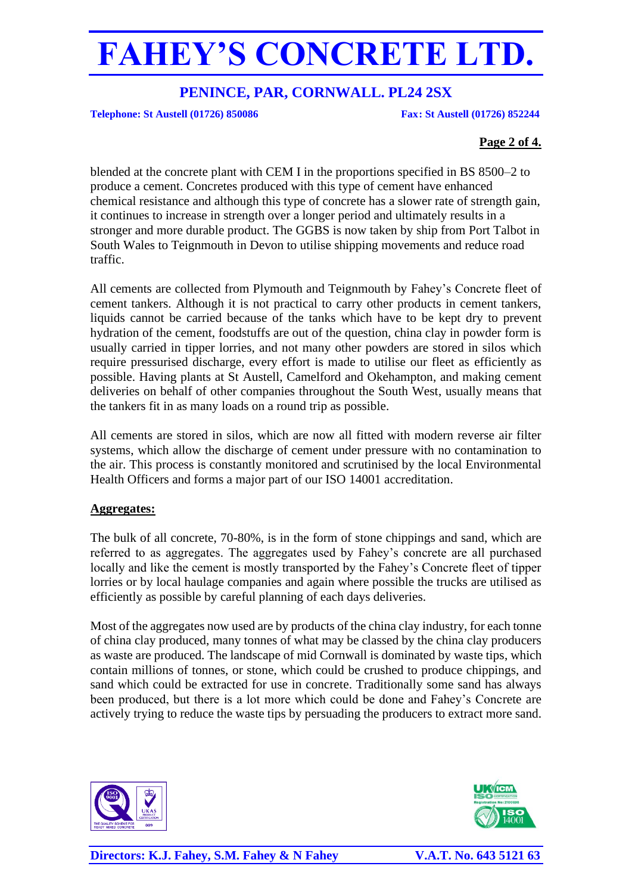## **PENINCE, PAR, CORNWALL. PL24 2SX**

**Telephone: St Austell (01726) 850086 Fax: St Austell (01726) 852244**

### **Page 2 of 4.**

blended at the concrete plant with CEM I in the proportions specified in BS 8500–2 to produce a cement. Concretes produced with this type of cement have enhanced chemical resistance and although this type of concrete has a slower rate of strength gain, it continues to increase in strength over a longer period and ultimately results in a stronger and more durable product. The GGBS is now taken by ship from Port Talbot in South Wales to Teignmouth in Devon to utilise shipping movements and reduce road traffic.

All cements are collected from Plymouth and Teignmouth by Fahey's Concrete fleet of cement tankers. Although it is not practical to carry other products in cement tankers, liquids cannot be carried because of the tanks which have to be kept dry to prevent hydration of the cement, foodstuffs are out of the question, china clay in powder form is usually carried in tipper lorries, and not many other powders are stored in silos which require pressurised discharge, every effort is made to utilise our fleet as efficiently as possible. Having plants at St Austell, Camelford and Okehampton, and making cement deliveries on behalf of other companies throughout the South West, usually means that the tankers fit in as many loads on a round trip as possible.

All cements are stored in silos, which are now all fitted with modern reverse air filter systems, which allow the discharge of cement under pressure with no contamination to the air. This process is constantly monitored and scrutinised by the local Environmental Health Officers and forms a major part of our ISO 14001 accreditation.

### **Aggregates:**

The bulk of all concrete, 70-80%, is in the form of stone chippings and sand, which are referred to as aggregates. The aggregates used by Fahey's concrete are all purchased locally and like the cement is mostly transported by the Fahey's Concrete fleet of tipper lorries or by local haulage companies and again where possible the trucks are utilised as efficiently as possible by careful planning of each days deliveries.

Most of the aggregates now used are by products of the china clay industry, for each tonne of china clay produced, many tonnes of what may be classed by the china clay producers as waste are produced. The landscape of mid Cornwall is dominated by waste tips, which contain millions of tonnes, or stone, which could be crushed to produce chippings, and sand which could be extracted for use in concrete. Traditionally some sand has always been produced, but there is a lot more which could be done and Fahey's Concrete are actively trying to reduce the waste tips by persuading the producers to extract more sand.



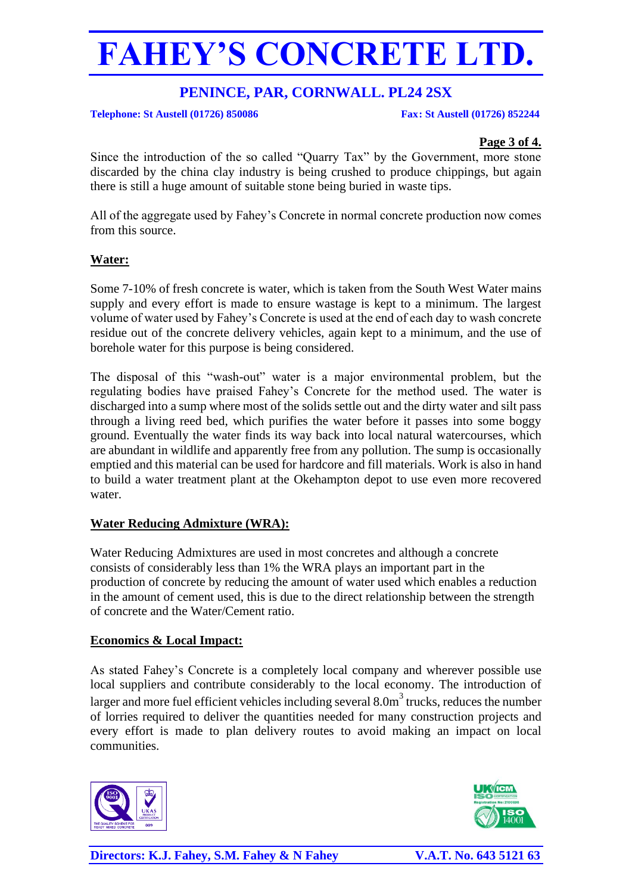## **PENINCE, PAR, CORNWALL. PL24 2SX**

**Telephone: St Austell (01726) 850086 Fax: St Austell (01726) 852244**

### **Page 3 of 4.**

Since the introduction of the so called "Quarry Tax" by the Government, more stone discarded by the china clay industry is being crushed to produce chippings, but again there is still a huge amount of suitable stone being buried in waste tips.

All of the aggregate used by Fahey's Concrete in normal concrete production now comes from this source.

### **Water:**

Some 7-10% of fresh concrete is water, which is taken from the South West Water mains supply and every effort is made to ensure wastage is kept to a minimum. The largest volume of water used by Fahey's Concrete is used at the end of each day to wash concrete residue out of the concrete delivery vehicles, again kept to a minimum, and the use of borehole water for this purpose is being considered.

The disposal of this "wash-out" water is a major environmental problem, but the regulating bodies have praised Fahey's Concrete for the method used. The water is discharged into a sump where most of the solids settle out and the dirty water and silt pass through a living reed bed, which purifies the water before it passes into some boggy ground. Eventually the water finds its way back into local natural watercourses, which are abundant in wildlife and apparently free from any pollution. The sump is occasionally emptied and this material can be used for hardcore and fill materials. Work is also in hand to build a water treatment plant at the Okehampton depot to use even more recovered water.

### **Water Reducing Admixture (WRA):**

Water Reducing Admixtures are used in most concretes and although a concrete consists of considerably less than 1% the WRA plays an important part in the production of concrete by reducing the amount of water used which enables a reduction in the amount of cement used, this is due to the direct relationship between the strength of concrete and the Water/Cement ratio.

## **Economics & Local Impact:**

As stated Fahey's Concrete is a completely local company and wherever possible use local suppliers and contribute considerably to the local economy. The introduction of larger and more fuel efficient vehicles including several  $8.0<sup>m</sup>$  trucks, reduces the number of lorries required to deliver the quantities needed for many construction projects and every effort is made to plan delivery routes to avoid making an impact on local communities.